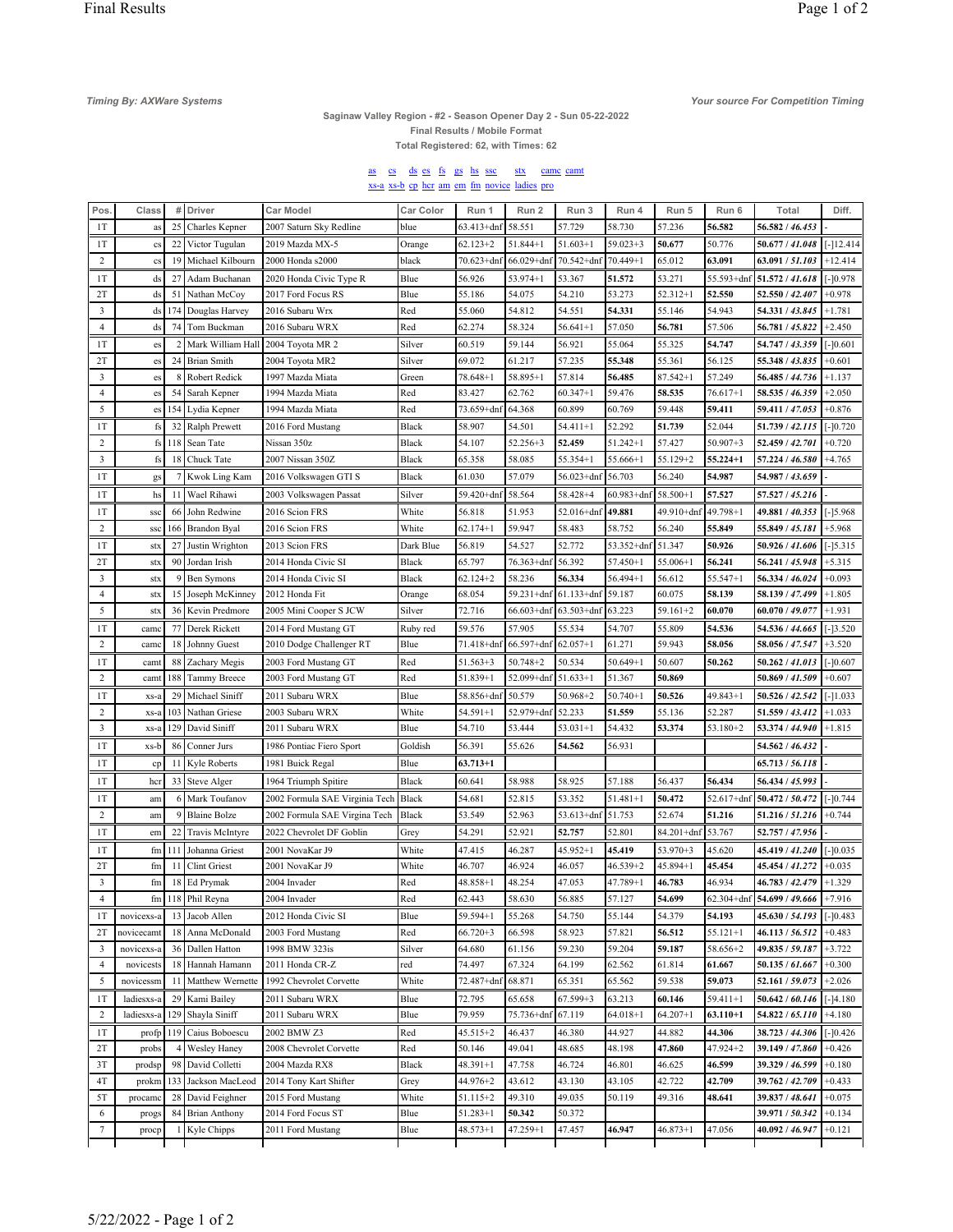Timing By: AXWare Systems

## Saginaw Valley Region - #2 - Season Opener Day 2 - Sun 05-22-2022<br>Final Results / Mobile Format

Your source For Competition Timing

Total Registered: 62, with Times: 62

## as cs ds es fs gs hs ssc stx came camt<br>xs-a xs-b ep her am em fm novice ladies pro

| Pos.           | Class         |                | # Driver               | <b>Car Model</b>               | Car Color    | Run 1             | Run 2          | Run 3            | Run 4             | Run 5        | Run 6        | Total                              | Diff.                |
|----------------|---------------|----------------|------------------------|--------------------------------|--------------|-------------------|----------------|------------------|-------------------|--------------|--------------|------------------------------------|----------------------|
| 1T             | as            | 25             | Charles Kepner         | 2007 Saturn Sky Redline        | blue         | $63.413 + dnf$    | 58.551         | 57.729           | 58.730            | 57.236       | 56.582       | 56.582 / 46.453                    |                      |
| 1T             | cs            | 22             | Victor Tugulan         | 2019 Mazda MX-5                | Orange       | $62.123 + 2$      | $51.844 + 1$   | $51.603+1$       | $59.023 + 3$      | 50.677       | 50.776       | 50.677 / 41.048                    | $[-]12.414$          |
| $\overline{c}$ | $_{\rm cs}$   | 19             | Michael Kilbourn       | 2000 Honda s2000               | black        | $70.623 + dnf$    | $66.029 + dnf$ | $70.542 + dnf$   | $70.449 + 1$      | 65.012       | 63.091       | 63.091 / 51.103                    | $+12.414$            |
| 1T             | ds            | 27             | Adam Buchanan          | 2020 Honda Civic Type R        | Blue         | 56.926            | $53.974 + 1$   | 53.367           | 51.572            | 53.271       |              | 55.593+dnf 51.572 / 41.618         | $[-]0.978$           |
| 2T             | ds            |                | 51 Nathan McCoy        | 2017 Ford Focus RS             | Blue         | 55.186            | 54.075         | 54.210           | 53.273            | 52.312+1     | 52.550       | 52.550 / 42.407                    | $+0.978$             |
| 3              | ds            | 174            | Douglas Harvey         | 2016 Subaru Wrx                | Red          | 55.060            | 54.812         | 54.551           | 54.331            | 55.146       | 54.943       | 54.331 / 43.845                    | $+1.781$             |
| $\overline{4}$ | ds            | 74             | Tom Buckman            | 2016 Subaru WRX                | Red          | 62.274            | 58.324         | $56.641 + 1$     | 57.050            | 56.781       | 57.506       | 56.781 / 45.822                    | $+2.450$             |
| 1T             | es            | $\overline{2}$ | Mark William Hall      | 2004 Toyota MR 2               | Silver       | 60.519            | 59.144         | 56.921           | 55.064            | 55.325       | 54.747       | 54.747 / 43.359                    | $[-]0.601$           |
| 2T             | es            | 24             | <b>Brian Smith</b>     | 2004 Toyota MR2                | Silver       | 69.072            | 61.217         | 57.235           | 55.348            | 55.361       | 56.125       | 55.348 / 43.835                    | $+0.601$             |
| 3              | es            | 8              | Robert Redick          | 1997 Mazda Miata               | Green        | $78.648 + 1$      | 58.895+1       | 57.814           | 56.485            | $87.542 + 1$ | 57.249       | 56.485 / 44.736                    | +1.137               |
| $\overline{4}$ | es            | 54             | Sarah Kepner           | 1994 Mazda Miata               | Red          | 83.427            | 62.762         | $60.347 + 1$     | 59.476            | 58.535       | $76.617 + 1$ | 58.535 / 46.359                    | $+2.050$             |
| 5              | es            |                | 154 Lydia Kepner       | 1994 Mazda Miata               | Red          | 73.659+dnf        | 64.368         | 60.899           | 60.769            | 59.448       | 59.411       | 59.411 / 47.053                    | $+0.876$             |
| 1T             | fs            | 32             | Ralph Prewett          | 2016 Ford Mustang              | Black        | 58.907            | 54.501         | $54.411 + 1$     | 52.292            | 51.739       | 52.044       | 51.739 / 42.115                    | $[-]0.720$           |
| 2              | fs            | 118            | Sean Tate              | Nissan 350z                    | Black        | 54.107            | $52.256 + 3$   | 52.459           | $51.242 + 1$      | 57.427       | $50.907 + 3$ | 52,459 / 42,701                    | $+0.720$             |
| 3              | fs            | 18             | Chuck Tate             | 2007 Nissan 350Z               | Black        | 65.358            | 58.085         | $55.354 + 1$     | $55.666+1$        | 55.129+2     | $55,224+1$   | 57.224 / 46.580                    | $+4.765$             |
| 1T             | gs            |                | 7 Kwok Ling Kam        | 2016 Volkswagen GTI S          | Black        | 61.030            | 57.079         | $56.023 + dnf$   | 56.703            | 56.240       | 54.987       | 54.987 / 43.659                    |                      |
| 1T             | hs            | 11             | Wael Rihawi            | 2003 Volkswagen Passat         | Silver       | 59.420+dnf 58.564 |                | $58.428 + 4$     | $60.983 + dnf$    | $58.500+1$   | 57.527       | 57.527 / 45.216                    |                      |
| 1T             | ssc           | 66             | John Redwine           | 2016 Scion FRS                 | White        | 56.818            | 51.953         | 52.016+dnf       | 49.881            | 49.910+dnf   | $49.798 + 1$ | 49.881 / 40.353                    | $[-]5.968$           |
| 2              | <b>SSC</b>    | 166            | Brandon Byal           | 2016 Scion FRS                 | White        | $62.174 + 1$      | 59.947         | 58.483           | 58.752            | 56.240       | 55.849       | 55.849 / 45.181                    | $+5.968$             |
| 1T             | stx           | 27             | Justin Wrighton        | 2013 Scion FRS                 | Dark Blue    | 56.819            | 54.527         | 52.772           | 53.352+dnf 51.347 |              | 50.926       | 50.926 / 41.606                    | $[-] 5.315$          |
| 2T             | stx           | 90             | Jordan Irish           | 2014 Honda Civic SI            | Black        | 65.797            | 76.363+dnf     | 56.392           | $57.450 + 1$      | 55.006+1     | 56.241       | 56.241 / 45.948                    | $+5.315$             |
| 3              | stx           | 9              | <b>Ben Symons</b>      | 2014 Honda Civic SI            | Black        | $62.124 + 2$      | 58.236         | 56.334           | $56.494 + 1$      | 56.612       | $55.547 + 1$ | 56.334 / 46.024                    | $+0.093$             |
| $\overline{4}$ | stx           |                | 15 Joseph McKinney     | 2012 Honda Fit                 | Orange       | 68.054            | $59.231 + dnf$ | $61.133 + dnf$   | 59.187            | 60.075       | 58.139       | 58.139 / 47.499                    | $+1.805$             |
| 5              | stx           | 36             | Kevin Predmore         | 2005 Mini Cooper S JCW         | Silver       | 72.716            | $66.603 + dnf$ | $63.503 + dnf$   | 63.223            | $59.161 + 2$ | 60.070       | 60.070 / 49.077                    | $+1.931$             |
| 1T             | camc          | 77             | Derek Rickett          | 2014 Ford Mustang GT           | Ruby red     | 59.576            | 57.905         | 55.534           | 54.707            | 55.809       | 54.536       | 54.536 / 44.665                    | $[-]3.520$           |
| $\overline{c}$ | camo          |                | 18 Johnny Guest        | 2010 Dodge Challenger RT       | Blue         | $71.418 + dn1$    | 66.597+dnf     | $62.057 + 1$     | 61.271            | 59.943       | 58.056       | 58.056 / 47.547                    | $+3.520$             |
| 1T             | camt          | 88             | Zachary Megis          | 2003 Ford Mustang GT           | Red          | $51.563+3$        | $50.748 + 2$   | 50.534           | $50.649 + 1$      | 50.607       | 50.262       | 50.262 / 41.013                    | [-]0.607             |
| $\overline{c}$ | camt          | 188            | Tammy Breece           | 2003 Ford Mustang GT           | Red          | 51.839+1          | 52.099+dnf     | $51.633+1$       | 51.367            | 50.869       |              | 50.869 / 41.509                    | $+0.607$             |
| 1T             | $XS-a$        | 29             | Michael Siniff         | 2011 Subaru WRX                | Blue         | 58.856+dnf        | 50.579         | $50.968 + 2$     | $50.740 + 1$      | 50.526       | $49.843 + 1$ | 50.526 / 42.542                    | $[-]1.033$           |
| 2              | $XS-z$        | 103            | Nathan Griese          | 2003 Subaru WRX                | White        | $54.591 + 1$      | 52.979+dnf     | 52.233           | 51.559            | 55.136       | 52.287       | 51.559 / 43.412                    | $+1.033$             |
| 3              | xs-a          | 129            | David Siniff           | 2011 Subaru WRX                | Blue         | 54.710            | 53.444         | $53.031 + 1$     | 54.432            | 53.374       | 53.180+2     | 53.374 / 44.940                    | $+1.815$             |
| 1T             | xs-b          | 86             | Conner Jurs            | 1986 Pontiac Fiero Sport       | Goldish      | 56.391            | 55.626         | 54.562           | 56.931            |              |              | 54.562 / 46.432                    |                      |
| 1T             | cp            |                | 11 Kyle Roberts        | 1981 Buick Regal               | Blue         | $63.713 + 1$      |                |                  |                   |              |              | 65.713 / 56.118                    |                      |
| 1T             | hcr           | 33             | Steve Alger            | 1964 Triumph Spitire           | Black        | 60.641            | 58.988         | 58.925           | 57.188            | 56.437       | 56.434       | 56.434 / 45.993                    |                      |
| 1T             | am            |                | 6 Mark Toufanov        | 2002 Formula SAE Virginia Tech | Black        | 54.681            | 52.815         | 53.352           | $51.481 + 1$      | 50.472       |              | 52.617+dnf 50.472 / 50.472         | $[-]0.744$           |
| 2              | am            | 9              | <b>Blaine Bolze</b>    | 2002 Formula SAE Virgina Tech  | Black        | 53.549            | 52.963         | $53.613 + dnf$   | 51.753            | 52.674       | 51.216       | 51.216 / 51.216                    | $+0.744$             |
| 1T             | em            | 22             | <b>Travis McIntyre</b> | 2022 Chevrolet DF Goblin       | Grey         | 54.291            | 52.921         | 52.757           | 52.801            | 84.201+dnf   | 53.767       | 52.757 / 47.956                    |                      |
| 1T             | fm            | 111            | Johanna Griest         | 2001 NovaKar J9                | White        | 47.415            | 46.287         | $45.952 + 1$     | 45.419            | 53.970+3     | 45.620       | 45.419 / 41.240                    | $[-]0.035$           |
| 2T             | fm            | 11             | Clint Griest           | 2001 NovaKar J9                | White        | 46.707            | 46.924         | 46.057           | $46.539 + 2$      | 45.894+1     | 45.454       | 45.454 / 41.272                    | $+0.035$             |
| 3              | fm            |                | 18 Ed Prymak           | 2004 Invader                   | Red          | 48.858+1          | 48.254         | 47.053           | 47.789+1          | 46.783       | 46.934       | 46.783 / 42.479                    | $+1.329$             |
| 4              |               |                | fm   118   Phil Reyna  | 2004 Invader                   | Red          | 62.443            | 58.630         | 56.885           | 57.127            | 54.699       |              | 62.304+dnf 54.699 / 49.666 +7.916  |                      |
| 1T             | novicexs-a    | 13             | Jacob Allen            | 2012 Honda Civic SI            | Blue         | 59.594+1          | 55.268         | 54.750           | 55.144            | 54.379       | 54.193       | 45.630 / 54.193                    | $[-]0.483$           |
| 2T             | novicecamt    |                | 18 Anna McDonald       | 2003 Ford Mustang              | Red          | $66.720 + 3$      | 66.598         | 58.923           | 57.821            | 56.512       | $55.121 + 1$ | 46.113 / 56.512                    | $+0.483$             |
| 3              | novicexs-a    | 36             | Dallen Hatton          | 1998 BMW 323is                 | Silver       | 64.680            | 61.156         | 59.230           | 59.204            | 59.187       | 58.656+2     | 49.835 / 59.187                    | $+3.722$             |
| 4              | novicests     | 18             | Hannah Hamann          | 2011 Honda CR-Z                | red          | 74.497            | 67.324         | 64.199           | 62.562            | 61.814       | 61.667       | 50.135 / 61.667                    | $+0.300$             |
| 5              | novicessm     |                | 11 Matthew Wernette    | 1992 Chevrolet Corvette        | White        | 72.487+dn1        | 68.871         | 65.351           | 65.562            | 59.538       | 59.073       | 52.161 / 59.073                    | $+2.026$             |
| 1T             | ladiesxs-a    | 29             | Kami Bailey            | 2011 Subaru WRX                | Blue         | 72.795            | 65.658         | $67.599 + 3$     | 63.213            | 60.146       | $59.411 + 1$ | 50.642 / 60.146                    | $[-]4.180$           |
| $\overline{c}$ | ladiesxs-a    | 129            | Shayla Siniff          | 2011 Subaru WRX                | Blue         | 79.959            | 75.736+dnf     | 67.119           | $64.018 + 1$      | $64.207 + 1$ | $63.110 + 1$ | 54.822 / 65.110                    | $+4.180$             |
| 1T             | $profp$   119 |                | Caius Boboescu         | 2002 BMW Z3                    | Red          | 45.515+2          | 46.437         | 46.380           | 44.927            | 44.882       | 44.306       | 38.723 / 44.306                    | $[-]0.426$           |
| 2T             | probs         | 4              | <b>Wesley Haney</b>    | 2008 Chevrolet Corvette        | Red          | 50.146            | 49.041         | 48.685           | 48.198            | 47.860       | 47.924+2     | 39.149 / 47.860                    | $+0.426$             |
| 3T             | prodsp        |                | 98 David Colletti      | 2004 Mazda RX8                 | Black        | $48.391 + 1$      | 47.758         | 46.724           | 46.801            | 46.625       | 46.599       | 39.329 / 46.599                    | $+0.180$             |
| 4T             | prokm         |                | 133 Jackson MacLeod    | 2014 Tony Kart Shifter         | Grey         | 44.976+2          | 43.612         | 43.130           | 43.105            | 42.722       | 42.709       | 39.762 / 42.709                    | $+0.433$             |
| 5T             | procame       | 28             | David Feighner         | 2015 Ford Mustang              | White        | 51.115+2          | 49.310         | 49.035           | 50.119            | 49.316       | 48.641       | 39.837 / 48.641                    | $+0.075$             |
| 6<br>$\tau$    | progs         | 84             | <b>Brian Anthony</b>   | 2014 Ford Focus ST             | Blue<br>Blue | $51.283 + 1$      | 50.342         | 50.372<br>47.457 | 46.947            | $46.873 + 1$ | 47.056       | 39.971 / 50.342<br>40.092 / 46.947 | $+0.134$<br>$+0.121$ |
|                | procp         |                | Kyle Chipps            | 2011 Ford Mustang              |              | $48.573 + 1$      | 47.259+1       |                  |                   |              |              |                                    |                      |